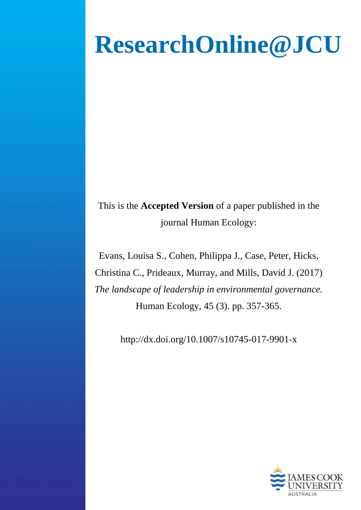# **ResearchOnline@JCU**

This is the **Accepted Version** of a paper published in the journal Human Ecology:

Evans, Louisa S., Cohen, Philippa J., Case, Peter, Hicks, Christina C., Prideaux, Murray, and Mills, David J. (2017) *The landscape of leadership in environmental governance.* Human Ecology, 45 (3). pp. 357-365.

http://dx.doi.org/10.1007/s10745-017-9901-x

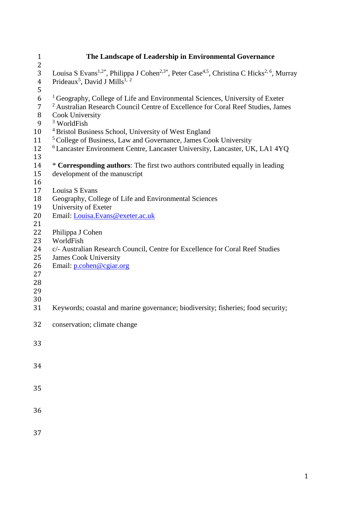| $\mathbf{1}$   | The Landscape of Leadership in Environmental Governance                                                                                    |
|----------------|--------------------------------------------------------------------------------------------------------------------------------------------|
| $\overline{2}$ |                                                                                                                                            |
| 3              | Louisa S Evans <sup>1,2*</sup> , Philippa J Cohen <sup>2,3*</sup> , Peter Case <sup>4,5</sup> , Christina C Hicks <sup>2, 6</sup> , Murray |
| $\overline{4}$ | Prideaux <sup>5</sup> , David J Mills <sup>1, 2</sup>                                                                                      |
| 5              |                                                                                                                                            |
| 6              | <sup>1</sup> Geography, College of Life and Environmental Sciences, University of Exeter                                                   |
| $\overline{7}$ | <sup>2</sup> Australian Research Council Centre of Excellence for Coral Reef Studies, James                                                |
| 8              | Cook University                                                                                                                            |
| 9              | <sup>3</sup> WorldFish                                                                                                                     |
| 10             | <sup>4</sup> Bristol Business School, University of West England                                                                           |
| 11             | <sup>5</sup> College of Business, Law and Governance, James Cook University                                                                |
| 12             | <sup>6</sup> Lancaster Environment Centre, Lancaster University, Lancaster, UK, LA1 4YQ                                                    |
| 13             |                                                                                                                                            |
| 14             | * Corresponding authors: The first two authors contributed equally in leading                                                              |
| 15             | development of the manuscript                                                                                                              |
| 16             |                                                                                                                                            |
| 17             | Louisa S Evans                                                                                                                             |
| 18             | Geography, College of Life and Environmental Sciences                                                                                      |
| 19             | University of Exeter                                                                                                                       |
| 20             | Email: Louisa.Evans@exeter.ac.uk                                                                                                           |
| 21             |                                                                                                                                            |
| 22             | Philippa J Cohen                                                                                                                           |
| 23             | WorldFish                                                                                                                                  |
| 24             | c/- Australian Research Council, Centre for Excellence for Coral Reef Studies                                                              |
| 25             | <b>James Cook University</b>                                                                                                               |
| 26             | Email: p.cohen@cgiar.org                                                                                                                   |
| 27             |                                                                                                                                            |
| 28             |                                                                                                                                            |
| 29             |                                                                                                                                            |
| 30             |                                                                                                                                            |
| 31             | Keywords; coastal and marine governance; biodiversity; fisheries; food security;                                                           |
| 32             |                                                                                                                                            |
|                | conservation; climate change                                                                                                               |
|                |                                                                                                                                            |
| 33             |                                                                                                                                            |
|                |                                                                                                                                            |
| 34             |                                                                                                                                            |
|                |                                                                                                                                            |
|                |                                                                                                                                            |
| 35             |                                                                                                                                            |
|                |                                                                                                                                            |
| 36             |                                                                                                                                            |
|                |                                                                                                                                            |
|                |                                                                                                                                            |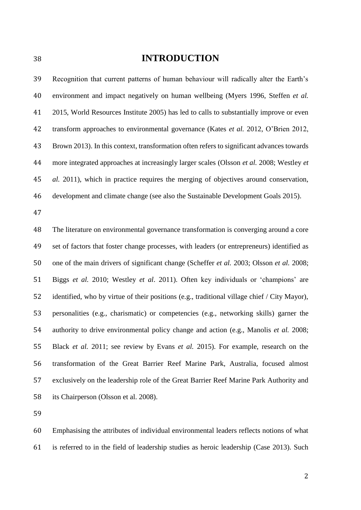# **INTRODUCTION**

 Recognition that current patterns of human behaviour will radically alter the Earth's environment and impact negatively on human wellbeing (Myers 1996, Steffen *et al.* 2015, World Resources Institute 2005) has led to calls to substantially improve or even transform approaches to environmental governance (Kates *et al.* 2012, O'Brien 2012, Brown 2013). In this context, transformation often refers to significant advances towards more integrated approaches at increasingly larger scales (Olsson *et al.* 2008; Westley *et al.* 2011), which in practice requires the merging of objectives around conservation, development and climate change (see also the Sustainable Development Goals 2015).

 The literature on environmental governance transformation is converging around a core set of factors that foster change processes, with leaders (or entrepreneurs) identified as one of the main drivers of significant change (Scheffer *et al.* 2003; Olsson *et al.* 2008; Biggs *et al.* 2010; Westley *et al*. 2011). Often key individuals or 'champions' are identified, who by virtue of their positions (e.g., traditional village chief / City Mayor), personalities (e.g., charismatic) or competencies (e.g., networking skills) garner the authority to drive environmental policy change and action (e.g., Manolis *et al.* 2008; Black *et al.* 2011; see review by Evans *et al.* 2015). For example, research on the transformation of the Great Barrier Reef Marine Park, Australia, focused almost exclusively on the leadership role of the Great Barrier Reef Marine Park Authority and its Chairperson (Olsson et al. 2008).

 Emphasising the attributes of individual environmental leaders reflects notions of what is referred to in the field of leadership studies as heroic leadership (Case 2013). Such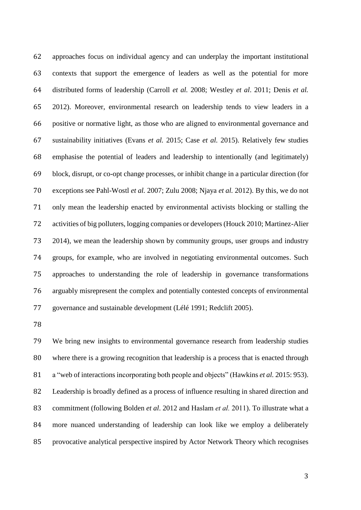approaches focus on individual agency and can underplay the important institutional contexts that support the emergence of leaders as well as the potential for more distributed forms of leadership (Carroll *et al.* 2008; Westley *et al*. 2011; Denis *et al.* 2012). Moreover, environmental research on leadership tends to view leaders in a positive or normative light, as those who are aligned to environmental governance and sustainability initiatives (Evans *et al.* 2015; Case *et al.* 2015). Relatively few studies emphasise the potential of leaders and leadership to intentionally (and legitimately) block, disrupt, or co-opt change processes, or inhibit change in a particular direction (for exceptions see Pahl-Wostl *et al.* 2007; Zulu 2008; Njaya *et al.* 2012). By this, we do not only mean the leadership enacted by environmental activists blocking or stalling the activities of big polluters, logging companies or developers (Houck 2010; Martinez-Alier 2014), we mean the leadership shown by community groups, user groups and industry groups, for example, who are involved in negotiating environmental outcomes. Such approaches to understanding the role of leadership in governance transformations arguably misrepresent the complex and potentially contested concepts of environmental governance and sustainable development (Lélé 1991; Redclift 2005).

 We bring new insights to environmental governance research from leadership studies where there is a growing recognition that leadership is a process that is enacted through a "web of interactions incorporating both people and objects" (Hawkins *et al.* 2015: 953). Leadership is broadly defined as a process of influence resulting in shared direction and commitment (following Bolden *et al*. 2012 and Haslam *et al.* 2011). To illustrate what a more nuanced understanding of leadership can look like we employ a deliberately provocative analytical perspective inspired by Actor Network Theory which recognises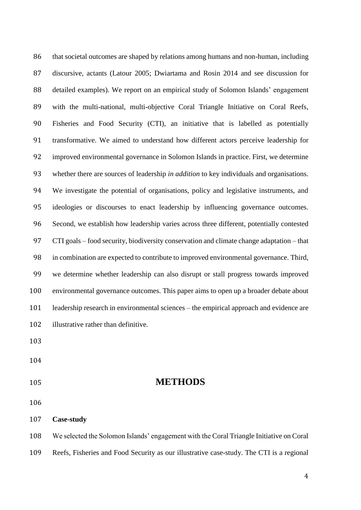that societal outcomes are shaped by relations among humans and non-human, including discursive, actants (Latour 2005; Dwiartama and Rosin 2014 and see discussion for detailed examples). We report on an empirical study of Solomon Islands' engagement with the multi-national, multi-objective Coral Triangle Initiative on Coral Reefs, Fisheries and Food Security (CTI), an initiative that is labelled as potentially transformative. We aimed to understand how different actors perceive leadership for improved environmental governance in Solomon Islands in practice. First, we determine whether there are sources of leadership *in addition* to key individuals and organisations. We investigate the potential of organisations, policy and legislative instruments, and ideologies or discourses to enact leadership by influencing governance outcomes. Second, we establish how leadership varies across three different, potentially contested CTI goals – food security, biodiversity conservation and climate change adaptation – that in combination are expected to contribute to improved environmental governance. Third, we determine whether leadership can also disrupt or stall progress towards improved environmental governance outcomes. This paper aims to open up a broader debate about leadership research in environmental sciences – the empirical approach and evidence are illustrative rather than definitive. **METHODS Case-study** We selected the Solomon Islands' engagement with the Coral Triangle Initiative on Coral

Reefs, Fisheries and Food Security as our illustrative case-study. The CTI is a regional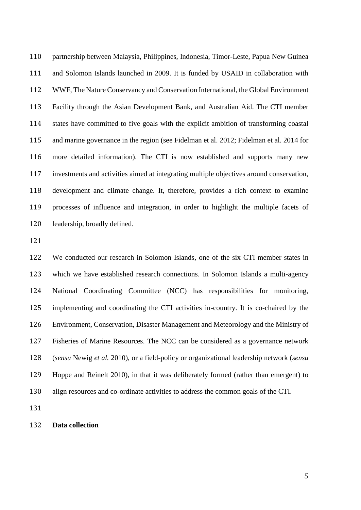partnership between Malaysia, Philippines, Indonesia, Timor-Leste, Papua New Guinea and Solomon Islands launched in 2009. It is funded by USAID in collaboration with WWF, The Nature Conservancy and Conservation International, the Global Environment Facility through the Asian Development Bank, and Australian Aid. The CTI member states have committed to five goals with the explicit ambition of transforming coastal and marine governance in the region (see Fidelman et al. 2012; Fidelman et al. 2014 for more detailed information). The CTI is now established and supports many new investments and activities aimed at integrating multiple objectives around conservation, development and climate change. It, therefore, provides a rich context to examine processes of influence and integration, in order to highlight the multiple facets of leadership, broadly defined.

 We conducted our research in Solomon Islands, one of the six CTI member states in which we have established research connections. In Solomon Islands a multi-agency National Coordinating Committee (NCC) has responsibilities for monitoring, implementing and coordinating the CTI activities in-country. It is co-chaired by the Environment, Conservation, Disaster Management and Meteorology and the Ministry of Fisheries of Marine Resources. The NCC can be considered as a governance network (*sensu* Newig *et al.* 2010), or a field-policy or organizational leadership network (*sensu* Hoppe and Reinelt 2010), in that it was deliberately formed (rather than emergent) to align resources and co-ordinate activities to address the common goals of the CTI.

**Data collection**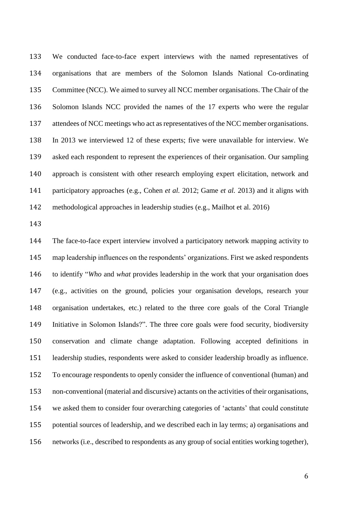We conducted face-to-face expert interviews with the named representatives of organisations that are members of the Solomon Islands National Co-ordinating Committee (NCC). We aimed to survey all NCC member organisations. The Chair of the Solomon Islands NCC provided the names of the 17 experts who were the regular attendees of NCC meetings who act as representatives of the NCC member organisations. In 2013 we interviewed 12 of these experts; five were unavailable for interview. We asked each respondent to represent the experiences of their organisation. Our sampling approach is consistent with other research employing expert elicitation, network and participatory approaches (e.g., Cohen *et al.* 2012; Game *et al.* 2013) and it aligns with methodological approaches in leadership studies (e.g., Mailhot et al. 2016)

 The face-to-face expert interview involved a participatory network mapping activity to map leadership influences on the respondents' organizations. First we asked respondents to identify "*Who* and *what* provides leadership in the work that your organisation does (e.g., activities on the ground, policies your organisation develops, research your organisation undertakes, etc.) related to the three core goals of the Coral Triangle Initiative in Solomon Islands?". The three core goals were food security, biodiversity conservation and climate change adaptation. Following accepted definitions in leadership studies, respondents were asked to consider leadership broadly as influence. To encourage respondents to openly consider the influence of conventional (human) and non-conventional (material and discursive) actants on the activities of their organisations, we asked them to consider four overarching categories of 'actants' that could constitute potential sources of leadership, and we described each in lay terms; a) organisations and networks (i.e., described to respondents as any group of social entities working together),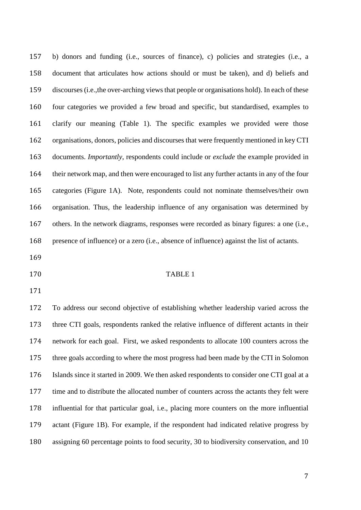b) donors and funding (i.e., sources of finance), c) policies and strategies (i.e., a document that articulates how actions should or must be taken), and d) beliefs and discourses(i.e.,the over-arching views that people or organisations hold). In each of these four categories we provided a few broad and specific, but standardised, examples to clarify our meaning (Table 1). The specific examples we provided were those organisations, donors, policies and discourses that were frequently mentioned in key CTI documents. *Importantly*, respondents could include or *exclude* the example provided in their network map, and then were encouraged to list any further actants in any of the four categories (Figure 1A). Note, respondents could not nominate themselves/their own organisation. Thus, the leadership influence of any organisation was determined by others. In the network diagrams, responses were recorded as binary figures: a one (i.e., presence of influence) or a zero (i.e., absence of influence) against the list of actants.

- 
- TABLE 1
- 

 To address our second objective of establishing whether leadership varied across the three CTI goals, respondents ranked the relative influence of different actants in their network for each goal. First, we asked respondents to allocate 100 counters across the three goals according to where the most progress had been made by the CTI in Solomon Islands since it started in 2009. We then asked respondents to consider one CTI goal at a time and to distribute the allocated number of counters across the actants they felt were influential for that particular goal, i.e., placing more counters on the more influential actant (Figure 1B). For example, if the respondent had indicated relative progress by assigning 60 percentage points to food security, 30 to biodiversity conservation, and 10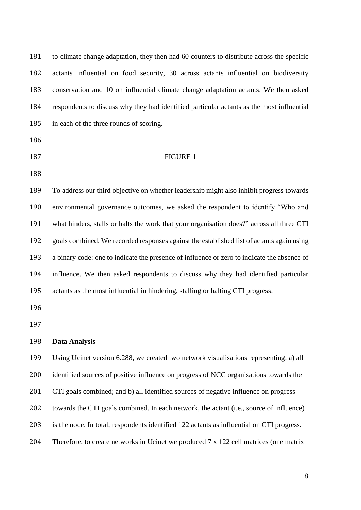| 181 | to climate change adaptation, they then had 60 counters to distribute across the specific   |
|-----|---------------------------------------------------------------------------------------------|
| 182 | actants influential on food security, 30 across actants influential on biodiversity         |
| 183 | conservation and 10 on influential climate change adaptation actants. We then asked         |
| 184 | respondents to discuss why they had identified particular actants as the most influential   |
| 185 | in each of the three rounds of scoring.                                                     |
| 186 |                                                                                             |
| 187 | <b>FIGURE 1</b>                                                                             |
| 188 |                                                                                             |
| 189 | To address our third objective on whether leadership might also inhibit progress towards    |
| 190 | environmental governance outcomes, we asked the respondent to identify "Who and             |
| 191 | what hinders, stalls or halts the work that your organisation does?" across all three CTI   |
| 192 | goals combined. We recorded responses against the established list of actants again using   |
| 193 | a binary code: one to indicate the presence of influence or zero to indicate the absence of |
| 194 | influence. We then asked respondents to discuss why they had identified particular          |
| 195 | actants as the most influential in hindering, stalling or halting CTI progress.             |
| 196 |                                                                                             |
| 197 |                                                                                             |
| 198 | <b>Data Analysis</b>                                                                        |
| 199 | Using Ucinet version 6.288, we created two network visualisations representing: a) all      |
| 200 | identified sources of positive influence on progress of NCC organisations towards the       |
| 201 | CTI goals combined; and b) all identified sources of negative influence on progress         |
| 202 | towards the CTI goals combined. In each network, the actant (i.e., source of influence)     |
| 203 | is the node. In total, respondents identified 122 actants as influential on CTI progress.   |
| 204 | Therefore, to create networks in Ucinet we produced 7 x 122 cell matrices (one matrix       |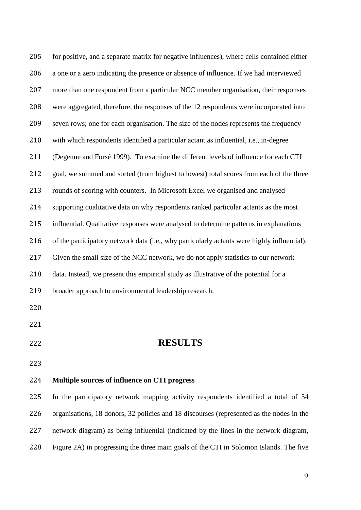for positive, and a separate matrix for negative influences), where cells contained either a one or a zero indicating the presence or absence of influence. If we had interviewed more than one respondent from a particular NCC member organisation, their responses were aggregated, therefore, the responses of the 12 respondents were incorporated into seven rows; one for each organisation. The size of the nodes represents the frequency with which respondents identified a particular actant as influential, i.e., in-degree (Degenne and Forsé 1999). To examine the different levels of influence for each CTI goal, we summed and sorted (from highest to lowest) total scores from each of the three rounds of scoring with counters. In Microsoft Excel we organised and analysed supporting qualitative data on why respondents ranked particular actants as the most influential. Qualitative responses were analysed to determine patterns in explanations of the participatory network data (i.e., why particularly actants were highly influential). Given the small size of the NCC network, we do not apply statistics to our network data. Instead, we present this empirical study as illustrative of the potential for a broader approach to environmental leadership research. **RESULTS Multiple sources of influence on CTI progress** In the participatory network mapping activity respondents identified a total of 54 organisations, 18 donors, 32 policies and 18 discourses (represented as the nodes in the network diagram) as being influential (indicated by the lines in the network diagram,

Figure 2A) in progressing the three main goals of the CTI in Solomon Islands. The five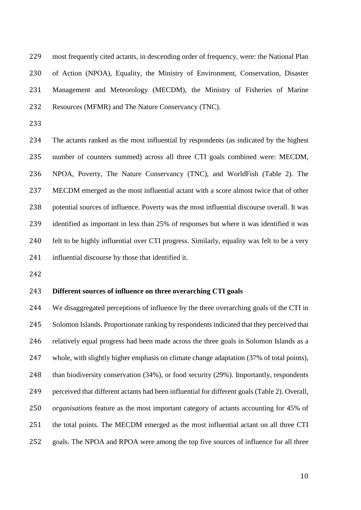most frequently cited actants, in descending order of frequency, were: the National Plan of Action (NPOA), Equality, the Ministry of Environment, Conservation, Disaster Management and Meteorology (MECDM), the Ministry of Fisheries of Marine Resources (MFMR) and The Nature Conservancy (TNC).

 The actants ranked as the most influential by respondents (as indicated by the highest number of counters summed) across all three CTI goals combined were: MECDM, NPOA, Poverty, The Nature Conservancy (TNC), and WorldFish (Table 2). The MECDM emerged as the most influential actant with a score almost twice that of other potential sources of influence. Poverty was the most influential discourse overall. It was identified as important in less than 25% of responses but where it was identified it was felt to be highly influential over CTI progress. Similarly, equality was felt to be a very influential discourse by those that identified it.

#### **Different sources of influence on three overarching CTI goals**

 We disaggregated perceptions of influence by the three overarching goals of the CTI in Solomon Islands. Proportionate ranking by respondents indicated that they perceived that relatively equal progress had been made across the three goals in Solomon Islands as a whole, with slightly higher emphasis on climate change adaptation (37% of total points), than biodiversity conservation (34%), or food security (29%). Importantly, respondents perceived that different actants had been influential for different goals (Table 2). Overall, *organisations* feature as the most important category of actants accounting for 45% of the total points. The MECDM emerged as the most influential actant on all three CTI goals. The NPOA and RPOA were among the top five sources of influence for all three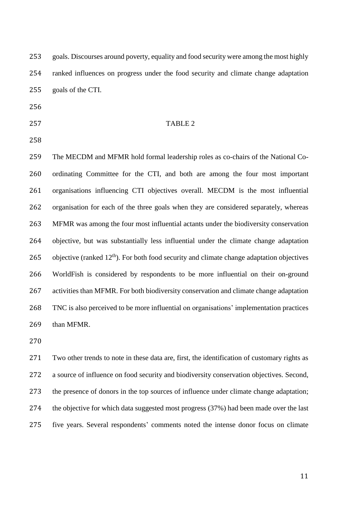goals. Discourses around poverty, equality and food security were among the most highly ranked influences on progress under the food security and climate change adaptation goals of the CTI.

- 
- 

#### TABLE 2

 The MECDM and MFMR hold formal leadership roles as co-chairs of the National Co- ordinating Committee for the CTI, and both are among the four most important organisations influencing CTI objectives overall. MECDM is the most influential organisation for each of the three goals when they are considered separately, whereas MFMR was among the four most influential actants under the biodiversity conservation objective, but was substantially less influential under the climate change adaptation 265 objective (ranked  $12<sup>th</sup>$ ). For both food security and climate change adaptation objectives WorldFish is considered by respondents to be more influential on their on-ground activities than MFMR. For both biodiversity conservation and climate change adaptation TNC is also perceived to be more influential on organisations' implementation practices than MFMR.

 Two other trends to note in these data are, first, the identification of customary rights as a source of influence on food security and biodiversity conservation objectives. Second, the presence of donors in the top sources of influence under climate change adaptation; the objective for which data suggested most progress (37%) had been made over the last five years. Several respondents' comments noted the intense donor focus on climate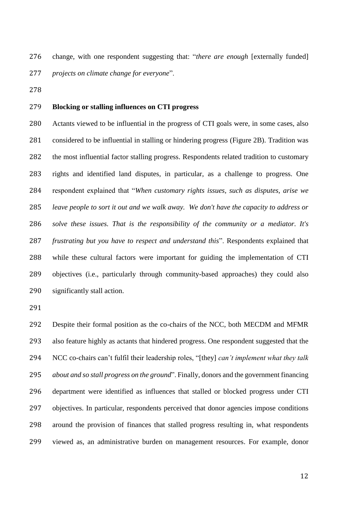change, with one respondent suggesting that: "*there are enough* [externally funded] *projects on climate change for everyone*".

#### **Blocking or stalling influences on CTI progress**

 Actants viewed to be influential in the progress of CTI goals were, in some cases, also considered to be influential in stalling or hindering progress (Figure 2B). Tradition was the most influential factor stalling progress. Respondents related tradition to customary rights and identified land disputes, in particular, as a challenge to progress. One respondent explained that "*When customary rights issues, such as disputes, arise we leave people to sort it out and we walk away. We don't have the capacity to address or solve these issues. That is the responsibility of the community or a mediator. It's frustrating but you have to respect and understand this*". Respondents explained that while these cultural factors were important for guiding the implementation of CTI objectives (i.e., particularly through community-based approaches) they could also significantly stall action.

 Despite their formal position as the co-chairs of the NCC, both MECDM and MFMR also feature highly as actants that hindered progress. One respondent suggested that the NCC co-chairs can't fulfil their leadership roles, "[they] *can't implement what they talk about and so stall progress on the ground*". Finally, donors and the government financing department were identified as influences that stalled or blocked progress under CTI objectives. In particular, respondents perceived that donor agencies impose conditions around the provision of finances that stalled progress resulting in, what respondents viewed as, an administrative burden on management resources. For example, donor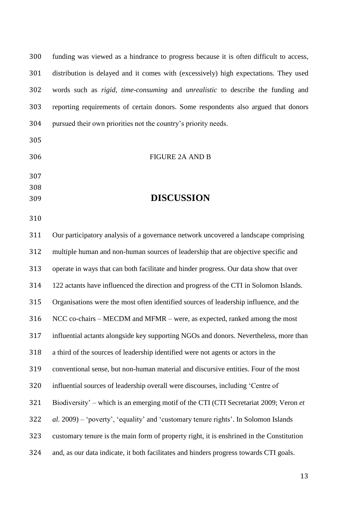| 300 | funding was viewed as a hindrance to progress because it is often difficult to access,   |
|-----|------------------------------------------------------------------------------------------|
| 301 | distribution is delayed and it comes with (excessively) high expectations. They used     |
| 302 | words such as rigid, time-consuming and unrealistic to describe the funding and          |
| 303 | reporting requirements of certain donors. Some respondents also argued that donors       |
| 304 | pursued their own priorities not the country's priority needs.                           |
| 305 |                                                                                          |
| 306 | FIGURE 2A AND B                                                                          |
| 307 |                                                                                          |
| 308 |                                                                                          |
| 309 | <b>DISCUSSION</b>                                                                        |
| 310 |                                                                                          |
| 311 | Our participatory analysis of a governance network uncovered a landscape comprising      |
| 312 | multiple human and non-human sources of leadership that are objective specific and       |
| 313 | operate in ways that can both facilitate and hinder progress. Our data show that over    |
| 314 | 122 actants have influenced the direction and progress of the CTI in Solomon Islands.    |
| 315 | Organisations were the most often identified sources of leadership influence, and the    |
| 316 | NCC co-chairs – MECDM and MFMR – were, as expected, ranked among the most                |
| 317 | influential actants alongside key supporting NGOs and donors. Nevertheless, more than    |
| 318 | a third of the sources of leadership identified were not agents or actors in the         |
| 319 | conventional sense, but non-human material and discursive entities. Four of the most     |
| 320 | influential sources of leadership overall were discourses, including 'Centre of          |
| 321 | Biodiversity' – which is an emerging motif of the CTI (CTI Secretariat 2009; Veron et    |
| 322 | al. 2009) – 'poverty', 'equality' and 'customary tenure rights'. In Solomon Islands      |
| 323 | customary tenure is the main form of property right, it is enshrined in the Constitution |
| 324 | and, as our data indicate, it both facilitates and hinders progress towards CTI goals.   |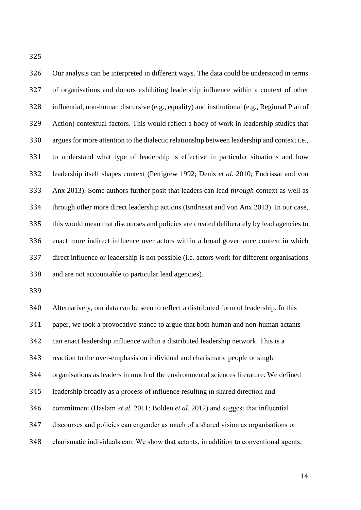Our analysis can be interpreted in different ways. The data could be understood in terms of organisations and donors exhibiting leadership influence within a context of other influential, non-human discursive (e.g., equality) and institutional (e.g., Regional Plan of Action) contextual factors. This would reflect a body of work in leadership studies that argues for more attention to the dialectic relationship between leadership and context i.e., to understand what type of leadership is effective in particular situations and how leadership itself shapes context (Pettigrew 1992; Denis *et al.* 2010; Endrissat and von Anx 2013). Some authors further posit that leaders can lead *through* context as well as through other more direct leadership actions (Endrissat and von Anx 2013). In our case, this would mean that discourses and policies are created deliberately by lead agencies to enact more indirect influence over actors within a broad governance context in which direct influence or leadership is not possible (i.e. actors work for different organisations and are not accountable to particular lead agencies).

 Alternatively, our data can be seen to reflect a distributed form of leadership. In this paper, we took a provocative stance to argue that both human and non-human actants can enact leadership influence within a distributed leadership network. This is a reaction to the over-emphasis on individual and charismatic people or single organisations as leaders in much of the environmental sciences literature. We defined leadership broadly as a process of influence resulting in shared direction and commitment (Haslam *et al.* 2011; Bolden *et al*. 2012) and suggest that influential discourses and policies can engender as much of a shared vision as organisations or charismatic individuals can. We show that actants, in addition to conventional agents,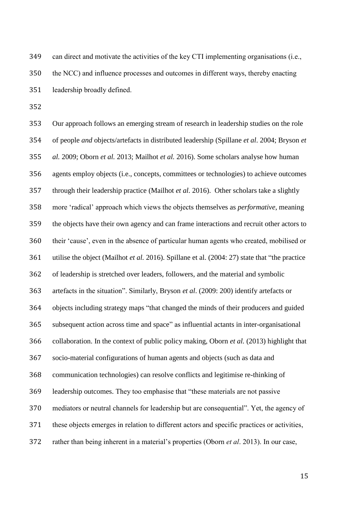can direct and motivate the activities of the key CTI implementing organisations (i.e., the NCC) and influence processes and outcomes in different ways, thereby enacting leadership broadly defined.

 Our approach follows an emerging stream of research in leadership studies on the role of people *and* objects/artefacts in distributed leadership (Spillane *et al*. 2004; Bryson *et al.* 2009; Oborn *et al.* 2013; Mailhot *et al.* 2016). Some scholars analyse how human agents employ objects (i.e., concepts, committees or technologies) to achieve outcomes through their leadership practice (Mailhot *et al.* 2016). Other scholars take a slightly more 'radical' approach which views the objects themselves as *performative*, meaning the objects have their own agency and can frame interactions and recruit other actors to their 'cause', even in the absence of particular human agents who created, mobilised or utilise the object (Mailhot *et al.* 2016). Spillane et al. (2004: 27) state that "the practice of leadership is stretched over leaders, followers, and the material and symbolic artefacts in the situation". Similarly, Bryson *et al*. (2009: 200) identify artefacts or objects including strategy maps "that changed the minds of their producers and guided subsequent action across time and space" as influential actants in inter-organisational collaboration. In the context of public policy making, Oborn *et al.* (2013) highlight that socio-material configurations of human agents and objects (such as data and communication technologies) can resolve conflicts and legitimise re-thinking of leadership outcomes. They too emphasise that "these materials are not passive mediators or neutral channels for leadership but are consequential". Yet, the agency of these objects emerges in relation to different actors and specific practices or activities, rather than being inherent in a material's properties (Oborn *et al*. 2013). In our case,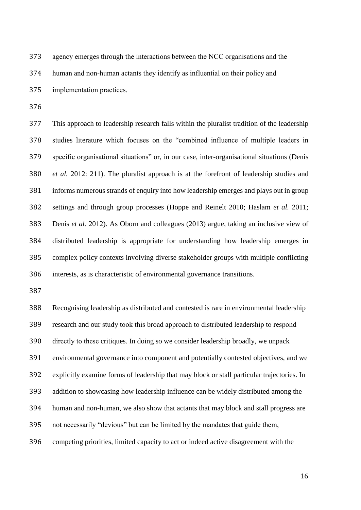agency emerges through the interactions between the NCC organisations and the human and non-human actants they identify as influential on their policy and implementation practices.

 This approach to leadership research falls within the pluralist tradition of the leadership studies literature which focuses on the "combined influence of multiple leaders in specific organisational situations" or, in our case, inter-organisational situations (Denis *et al.* 2012: 211). The pluralist approach is at the forefront of leadership studies and informs numerous strands of enquiry into how leadership emerges and plays out in group settings and through group processes (Hoppe and Reinelt 2010; Haslam *et al.* 2011; Denis *et al.* 2012). As Oborn and colleagues (2013) argue, taking an inclusive view of distributed leadership is appropriate for understanding how leadership emerges in complex policy contexts involving diverse stakeholder groups with multiple conflicting interests, as is characteristic of environmental governance transitions.

 Recognising leadership as distributed and contested is rare in environmental leadership research and our study took this broad approach to distributed leadership to respond directly to these critiques. In doing so we consider leadership broadly, we unpack environmental governance into component and potentially contested objectives, and we explicitly examine forms of leadership that may block or stall particular trajectories. In addition to showcasing how leadership influence can be widely distributed among the human and non-human, we also show that actants that may block and stall progress are not necessarily "devious" but can be limited by the mandates that guide them, competing priorities, limited capacity to act or indeed active disagreement with the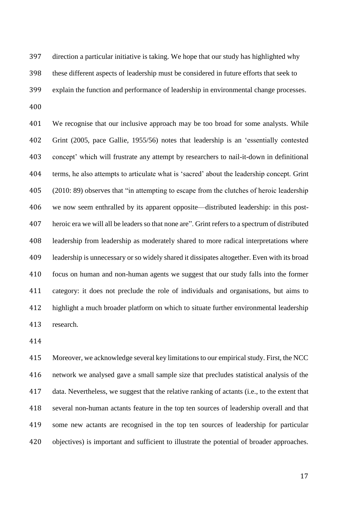direction a particular initiative is taking. We hope that our study has highlighted why these different aspects of leadership must be considered in future efforts that seek to explain the function and performance of leadership in environmental change processes. 

 We recognise that our inclusive approach may be too broad for some analysts. While Grint (2005, pace Gallie, 1955/56) notes that leadership is an 'essentially contested concept' which will frustrate any attempt by researchers to nail-it-down in definitional terms, he also attempts to articulate what is 'sacred' about the leadership concept. Grint (2010: 89) observes that "in attempting to escape from the clutches of heroic leadership we now seem enthralled by its apparent opposite—distributed leadership: in this post- heroic era we will all be leaders so that none are". Grint refers to a spectrum of distributed leadership from leadership as moderately shared to more radical interpretations where leadership is unnecessary or so widely shared it dissipates altogether. Even with its broad focus on human and non-human agents we suggest that our study falls into the former category: it does not preclude the role of individuals and organisations, but aims to highlight a much broader platform on which to situate further environmental leadership research.

 Moreover, we acknowledge several key limitations to our empirical study. First, the NCC network we analysed gave a small sample size that precludes statistical analysis of the data. Nevertheless, we suggest that the relative ranking of actants (i.e., to the extent that several non-human actants feature in the top ten sources of leadership overall and that some new actants are recognised in the top ten sources of leadership for particular objectives) is important and sufficient to illustrate the potential of broader approaches.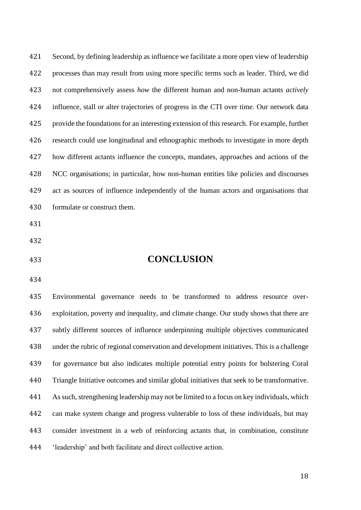Second, by defining leadership as influence we facilitate a more open view of leadership processes than may result from using more specific terms such as leader. Third, we did not comprehensively assess *how* the different human and non-human actants *actively* influence, stall or alter trajectories of progress in the CTI over time. Our network data provide the foundations for an interesting extension of this research. For example, further research could use longitudinal and ethnographic methods to investigate in more depth how different actants influence the concepts, mandates, approaches and actions of the NCC organisations; in particular, how non-human entities like policies and discourses act as sources of influence independently of the human actors and organisations that formulate or construct them.

- 
- 

#### **CONCLUSION**

 Environmental governance needs to be transformed to address resource over- exploitation, poverty and inequality, and climate change. Our study shows that there are subtly different sources of influence underpinning multiple objectives communicated under the rubric of regional conservation and development initiatives. This is a challenge for governance but also indicates multiple potential entry points for bolstering Coral Triangle Initiative outcomes and similar global initiatives that seek to be transformative. As such, strengthening leadership may not be limited to a focus on key individuals, which can make system change and progress vulnerable to loss of these individuals, but may consider investment in a web of reinforcing actants that, in combination, constitute 'leadership' and both facilitate and direct collective action.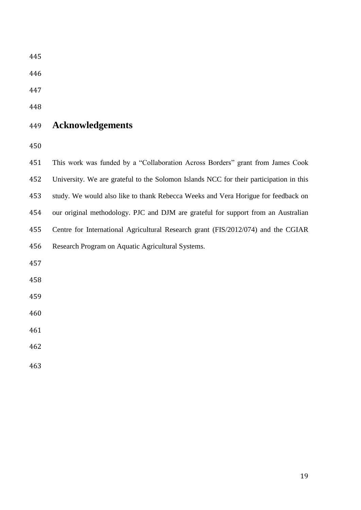# **Acknowledgements**

| 451 | This work was funded by a "Collaboration Across Borders" grant from James Cook         |
|-----|----------------------------------------------------------------------------------------|
| 452 | University. We are grateful to the Solomon Islands NCC for their participation in this |
| 453 | study. We would also like to thank Rebecca Weeks and Vera Horigue for feedback on      |
| 454 | our original methodology. PJC and DJM are grateful for support from an Australian      |
| 455 | Centre for International Agricultural Research grant (FIS/2012/074) and the CGIAR      |
| 456 | Research Program on Aquatic Agricultural Systems.                                      |
| 457 |                                                                                        |
| 458 |                                                                                        |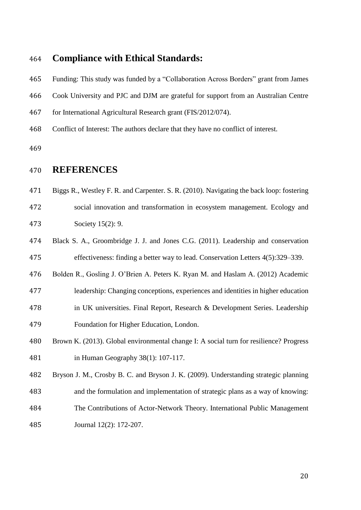### **Compliance with Ethical Standards:**

 Funding: This study was funded by a "Collaboration Across Borders" grant from James Cook University and PJC and DJM are grateful for support from an Australian Centre for International Agricultural Research grant (FIS/2012/074). Conflict of Interest: The authors declare that they have no conflict of interest.

## **REFERENCES**

Biggs R., Westley F. R. and Carpenter. S. R. (2010). Navigating the back loop: fostering

 social innovation and transformation in ecosystem management. Ecology and Society 15(2): 9.

 Black S. A., Groombridge J. J. and Jones C.G. (2011). Leadership and conservation effectiveness: finding a better way to lead. Conservation Letters 4(5):329–339.

Bolden R., Gosling J. O'Brien A. Peters K. Ryan M. and Haslam A. (2012) Academic

- leadership: Changing conceptions, experiences and identities in higher education in UK universities. Final Report, Research & Development Series. Leadership Foundation for Higher Education, London.
- Brown K. (2013). Global environmental change I: A social turn for resilience? Progress in Human Geography 38(1): 107-117.

 Bryson J. M., Crosby B. C. and Bryson J. K. (2009). Understanding strategic planning and the formulation and implementation of strategic plans as a way of knowing: The Contributions of Actor-Network Theory. International Public Management Journal 12(2): 172-207.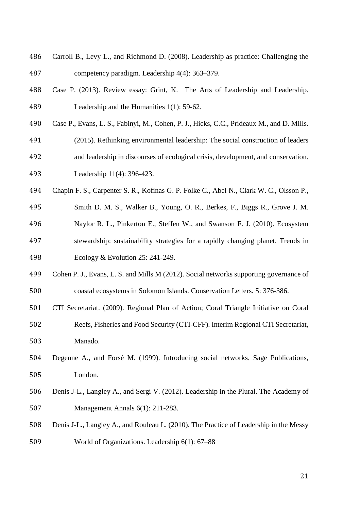- Carroll B., Levy L., and Richmond D. (2008). Leadership as practice: Challenging the competency paradigm. Leadership 4(4): 363–379.
- Case P. (2013). Review essay: Grint, K. The Arts of Leadership and Leadership. Leadership and the Humanities 1(1): 59-62.
- Case P., Evans, L. S., Fabinyi, M., Cohen, P. J., Hicks, C.C., Prideaux M., and D. Mills.
- (2015). Rethinking environmental leadership: The social construction of leaders and leadership in discourses of ecological crisis, development, and conservation. Leadership 11(4): 396-423.
- Chapin F. S., Carpenter S. R., Kofinas G. P. Folke C., Abel N., Clark W. C., Olsson P.,
- Smith D. M. S., Walker B., Young, O. R., Berkes, F., Biggs R., Grove J. M. Naylor R. L., Pinkerton E., Steffen W., and Swanson F. J. (2010). Ecosystem stewardship: sustainability strategies for a rapidly changing planet. Trends in Ecology & Evolution 25: 241-249.
- Cohen P. J., Evans, L. S. and Mills M (2012). Social networks supporting governance of coastal ecosystems in Solomon Islands. Conservation Letters. 5: 376-386.
- CTI Secretariat. (2009). Regional Plan of Action; Coral Triangle Initiative on Coral
- Reefs, Fisheries and Food Security (CTI-CFF). Interim Regional CTI Secretariat, Manado.
- Degenne A., and Forsé M. (1999). Introducing social networks. Sage Publications, London.
- Denis J-L., Langley A., and Sergi V. (2012). Leadership in the Plural. The Academy of Management Annals 6(1): 211-283.
- Denis J-L., Langley A., and Rouleau L. (2010). The Practice of Leadership in the Messy World of Organizations. Leadership 6(1): 67–88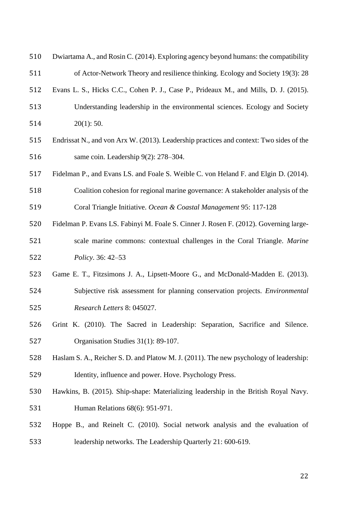| 510 | Dwiartama A., and Rosin C. (2014). Exploring agency beyond humans: the compatibility    |
|-----|-----------------------------------------------------------------------------------------|
| 511 | of Actor-Network Theory and resilience thinking. Ecology and Society 19(3): 28          |
| 512 | Evans L. S., Hicks C.C., Cohen P. J., Case P., Prideaux M., and Mills, D. J. (2015).    |
| 513 | Understanding leadership in the environmental sciences. Ecology and Society             |
| 514 | $20(1)$ : 50.                                                                           |
| 515 | Endrissat N., and von Arx W. (2013). Leadership practices and context: Two sides of the |
| 516 | same coin. Leadership 9(2): 278–304.                                                    |
| 517 | Fidelman P., and Evans LS. and Foale S. Weible C. von Heland F. and Elgin D. (2014).    |
| 518 | Coalition cohesion for regional marine governance: A stakeholder analysis of the        |
| 519 | Coral Triangle Initiative. Ocean & Coastal Management 95: 117-128                       |
| 520 | Fidelman P. Evans LS. Fabinyi M. Foale S. Cinner J. Rosen F. (2012). Governing large-   |
| 521 | scale marine commons: contextual challenges in the Coral Triangle. Marine               |
| 522 | Policy. 36: 42–53                                                                       |
| 523 | Game E. T., Fitzsimons J. A., Lipsett-Moore G., and McDonald-Madden E. (2013).          |
| 524 | Subjective risk assessment for planning conservation projects. <i>Environmental</i>     |
| 525 | Research Letters 8: 045027.                                                             |
| 526 | Grint K. (2010). The Sacred in Leadership: Separation, Sacrifice and Silence.           |
| 527 | Organisation Studies 31(1): 89-107.                                                     |
| 528 | Haslam S. A., Reicher S. D. and Platow M. J. (2011). The new psychology of leadership:  |
| 529 | Identity, influence and power. Hove. Psychology Press.                                  |
| 530 | Hawkins, B. (2015). Ship-shape: Materializing leadership in the British Royal Navy.     |
| 531 | Human Relations 68(6): 951-971.                                                         |
| 532 | Hoppe B., and Reinelt C. (2010). Social network analysis and the evaluation of          |
| 533 | leadership networks. The Leadership Quarterly 21: 600-619.                              |
|     |                                                                                         |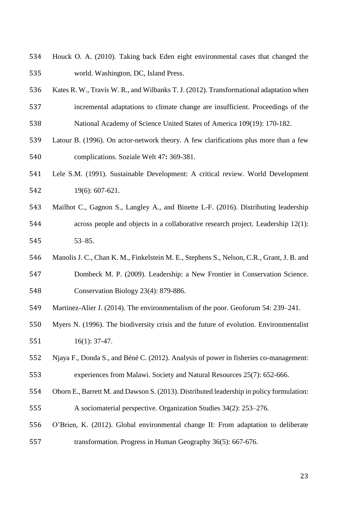- Houck O. A. (2010). Taking back Eden eight environmental cases that changed the world. Washington, DC, Island Press.
- Kates R. W., Travis W. R., and Wilbanks T. J. (2012). Transformational adaptation when incremental adaptations to climate change are insufficient. Proceedings of the National Academy of Science United States of America 109(19): 170-182.
- Latour B. (1996). On actor-network theory. A few clarifications plus more than a few complications. Soziale Welt 47**:** 369-381.
- Lele S.M. (1991). Sustainable Development: A critical review. World Development 19(6): 607-621.
- Mailhot C., Gagnon S., Langley A., and Binette L-F. (2016). Distributing leadership across people and objects in a collaborative research project. Leadership 12(1): 53–85.
- Manolis J. C., Chan K. M., Finkelstein M. E., Stephens S., Nelson, C.R., Grant, J. B. and
- Dombeck M. P. (2009). Leadership: a New Frontier in Conservation Science. Conservation Biology 23(4): 879-886.
- Martinez-Alier J. (2014). The environmentalism of the poor. Geoforum 54: 239–241.
- Myers N. (1996). The biodiversity crisis and the future of evolution. Environmentalist 16(1): 37-47.
- Njaya F., Donda S., and Béné C. (2012). Analysis of power in fisheries co-management: experiences from Malawi. Society and Natural Resources 25(7): 652-666.
- Oborn E., Barrett M. and Dawson S. (2013). Distributed leadership in policy formulation: A sociomaterial perspective. Organization Studies 34(2): 253–276.
- O'Brien, K. (2012). Global environmental change II: From adaptation to deliberate transformation. Progress in Human Geography 36(5): 667-676.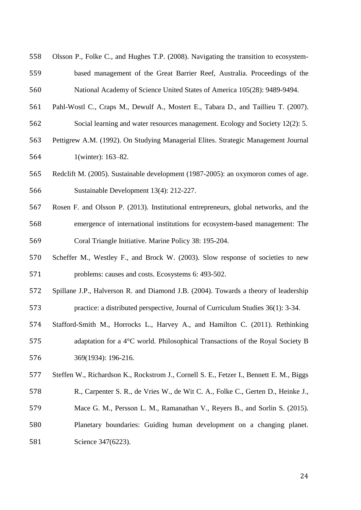| 560 | National Academy of Science United States of America 105(28): 9489-9494.                |
|-----|-----------------------------------------------------------------------------------------|
| 561 | Pahl-Wostl C., Craps M., Dewulf A., Mostert E., Tabara D., and Taillieu T. (2007).      |
| 562 | Social learning and water resources management. Ecology and Society 12(2): 5.           |
| 563 | Pettigrew A.M. (1992). On Studying Managerial Elites. Strategic Management Journal      |
| 564 | 1(winter): 163-82.                                                                      |
| 565 | Redclift M. (2005). Sustainable development (1987-2005): an oxymoron comes of age.      |
| 566 | Sustainable Development 13(4): 212-227.                                                 |
| 567 | Rosen F. and Olsson P. (2013). Institutional entrepreneurs, global networks, and the    |
| 568 | emergence of international institutions for ecosystem-based management: The             |
| 569 | Coral Triangle Initiative. Marine Policy 38: 195-204.                                   |
| 570 | Scheffer M., Westley F., and Brock W. (2003). Slow response of societies to new         |
| 571 | problems: causes and costs. Ecosystems 6: 493-502.                                      |
| 572 | Spillane J.P., Halverson R. and Diamond J.B. (2004). Towards a theory of leadership     |
| 573 | practice: a distributed perspective, Journal of Curriculum Studies 36(1): 3-34.         |
| 574 | Stafford-Smith M., Horrocks L., Harvey A., and Hamilton C. (2011). Rethinking           |
| 575 | adaptation for a 4°C world. Philosophical Transactions of the Royal Society B           |
| 576 | 369(1934): 196-216.                                                                     |
| 577 | Steffen W., Richardson K., Rockstrom J., Cornell S. E., Fetzer I., Bennett E. M., Biggs |
| 578 | R., Carpenter S. R., de Vries W., de Wit C. A., Folke C., Gerten D., Heinke J.,         |
| 579 | Mace G. M., Persson L. M., Ramanathan V., Reyers B., and Sorlin S. (2015).              |
| 580 | Planetary boundaries: Guiding human development on a changing planet.                   |
| 581 | Science 347(6223).                                                                      |
|     |                                                                                         |
|     | 24                                                                                      |
|     |                                                                                         |

Olsson P., Folke C., and Hughes T.P. (2008). Navigating the transition to ecosystem-

based management of the Great Barrier Reef, Australia. Proceedings of the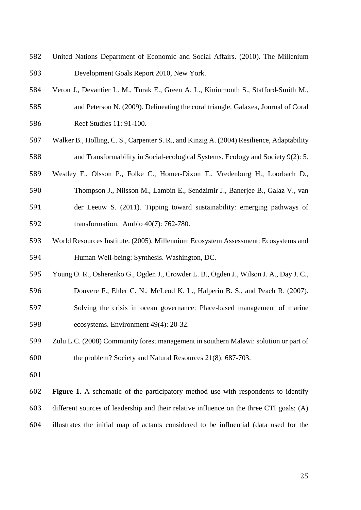- United Nations Department of Economic and Social Affairs. (2010). The Millenium Development Goals Report 2010, New York.
- Veron J., Devantier L. M., Turak E., Green A. L., Kininmonth S., Stafford-Smith M., and Peterson N. (2009). Delineating the coral triangle. Galaxea, Journal of Coral Reef Studies 11: 91-100.
- Walker B., Holling, C. S., Carpenter S. R., and Kinzig A. (2004) Resilience, Adaptability and Transformability in Social-ecological Systems. Ecology and Society 9(2): 5.
- Westley F., Olsson P., Folke C., Homer-Dixon T., Vredenburg H., Loorbach D., Thompson J., Nilsson M., Lambin E., Sendzimir J., Banerjee B., Galaz V., van der Leeuw S. (2011). Tipping toward sustainability: emerging pathways of transformation. Ambio 40(7): 762-780.
- World Resources Institute. (2005). Millennium Ecosystem Assessment: Ecosystems and Human Well-being: Synthesis. Washington, DC.
- Young O. R., Osherenko G., Ogden J., Crowder L. B., Ogden J., Wilson J. A., Day J. C.,
- Douvere F., Ehler C. N., McLeod K. L., Halperin B. S., and Peach R. (2007). Solving the crisis in ocean governance: Place-based management of marine ecosystems. Environment 49(4): 20-32.
- Zulu L.C. (2008) Community forest management in southern Malawi: solution or part of the problem? Society and Natural Resources 21(8): 687-703.
- 

 **Figure 1.** A schematic of the participatory method use with respondents to identify different sources of leadership and their relative influence on the three CTI goals; (A) illustrates the initial map of actants considered to be influential (data used for the